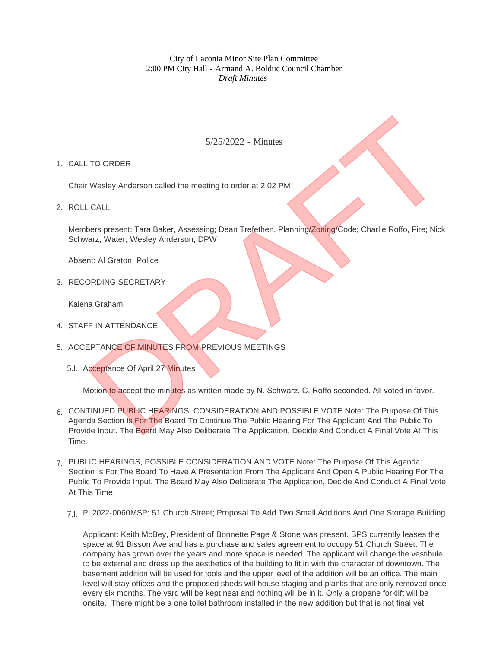City of Laconia Minor Site Plan Committee 2:00 PM City Hall - Armand A. Bolduc Council Chamber *Draft Minutes*

5/25/2022 - Minutes

1. CALL TO ORDER

Chair Wesley Anderson called the meeting to order at 2:02 PM

ROLL CALL 2.

Members present: Tara Baker, Assessing; Dean Trefethen, Planning/Zoning/Code; Charlie Roffo, Fire; Nick Schwarz, Water; Wesley Anderson, DPW

Absent: Al Graton, Police

3. RECORDING SECRETARY

Kalena Graham

- 4. STAFF IN ATTENDANCE
- 5. ACCEPTANCE OF MINUTES FROM PREVIOUS MEETINGS
	- 5.I. Acceptance Of April 27 Minutes

Motion to accept the minutes as written made by N. Schwarz, C. Roffo seconded. All voted in favor.

- 6. CONTINUED PUBLIC HEARINGS, CONSIDERATION AND POSSIBLE VOTE Note: The Purpose Of This Agenda Section Is For The Board To Continue The Public Hearing For The Applicant And The Public To Provide Input. The Board May Also Deliberate The Application, Decide And Conduct A Final Vote At This Time. 5/25/2022 - Minutes<br>
TO ORDER<br>
Wesley Anderson called the meeting to order at 2:02 PM<br>
CCALL<br>
CALL<br>
CALL<br>
Dors present: Tara Baker, Assessing; Dean Trefethon, Planning/Zoning/Code; Charlie Roffo, Fire; Nick<br>
THE ATTENDANCE
- PUBLIC HEARINGS, POSSIBLE CONSIDERATION AND VOTE Note: The Purpose Of This Agenda 7. Section Is For The Board To Have A Presentation From The Applicant And Open A Public Hearing For The Public To Provide Input. The Board May Also Deliberate The Application, Decide And Conduct A Final Vote At This Time.
	- PL2022-0060MSP; 51 Church Street; Proposal To Add Two Small Additions And One Storage Building 7.I.

Applicant: Keith McBey, President of Bonnette Page & Stone was present. BPS currently leases the space at 91 Bisson Ave and has a purchase and sales agreement to occupy 51 Church Street. The company has grown over the years and more space is needed. The applicant will change the vestibule to be external and dress up the aesthetics of the building to fit in with the character of downtown. The basement addition will be used for tools and the upper level of the addition will be an office. The main level will stay offices and the proposed sheds will house staging and planks that are only removed once every six months. The yard will be kept neat and nothing will be in it. Only a propane forklift will be onsite. There might be a one toilet bathroom installed in the new addition but that is not final yet.